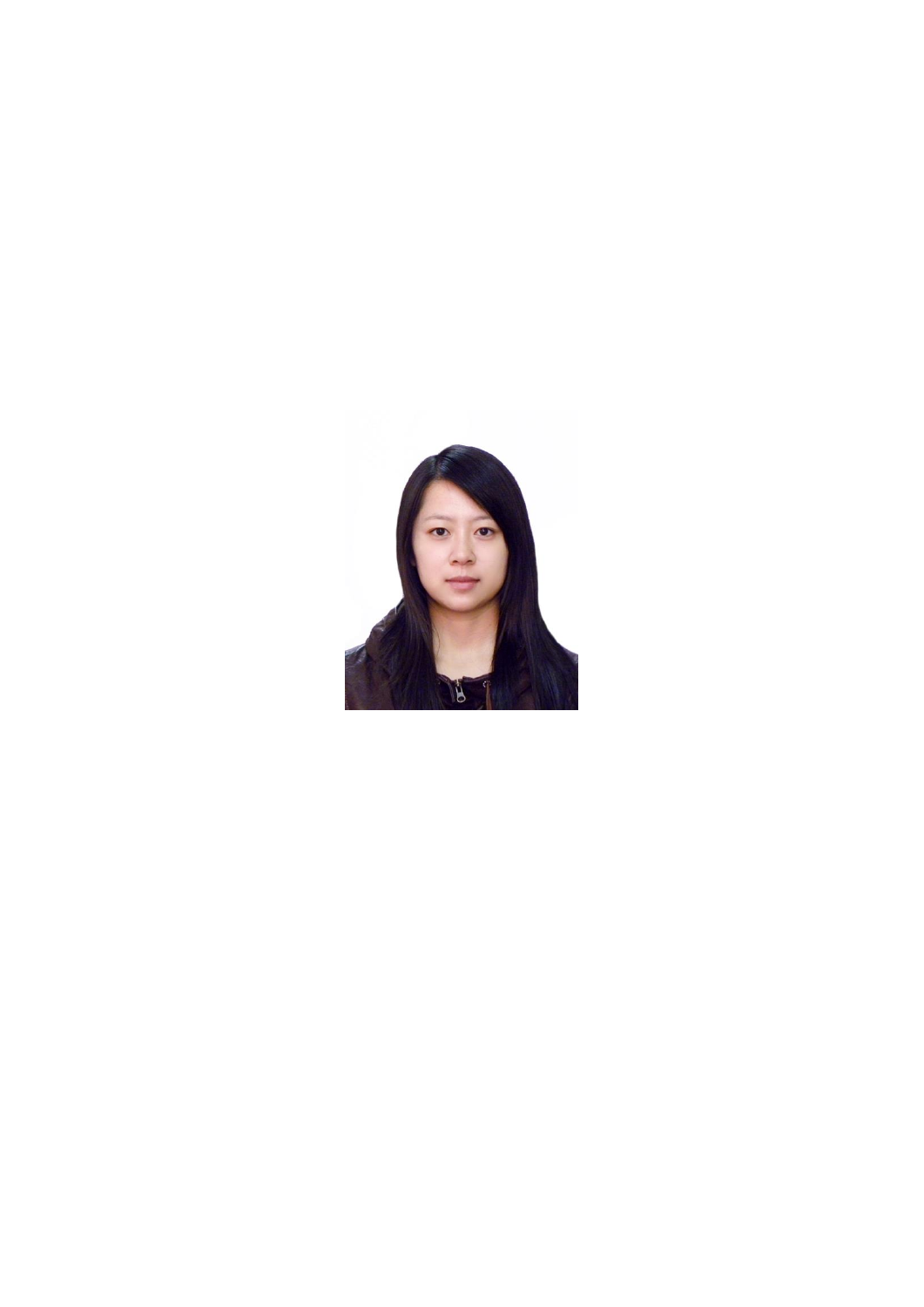